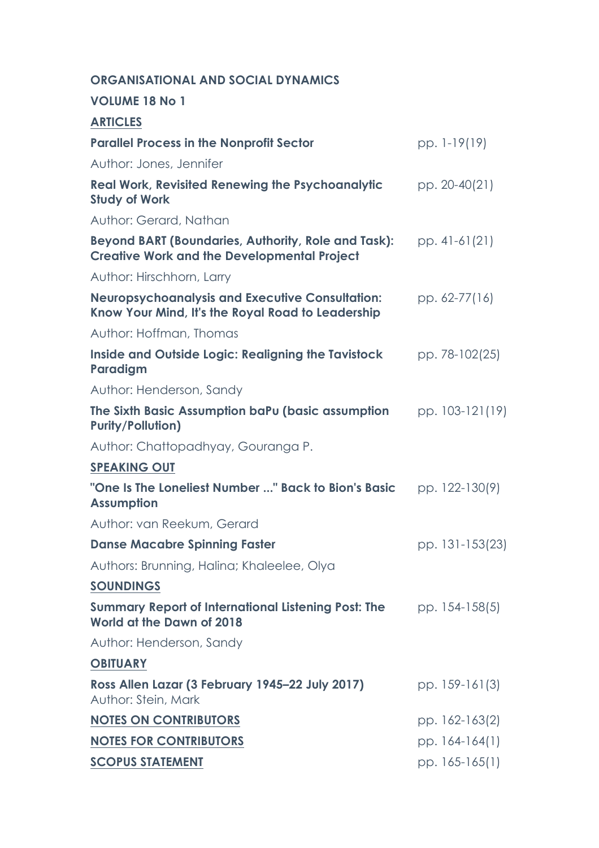### **ORGANISATIONAL AND SOCIAL DYNAMICS**

#### **VOLUME 18 No 1**

| <b>ARTICLES</b>                                                                                                  |                 |
|------------------------------------------------------------------------------------------------------------------|-----------------|
| <b>Parallel Process in the Nonprofit Sector</b>                                                                  | pp. 1-19(19)    |
| Author: Jones, Jennifer                                                                                          |                 |
| <b>Real Work, Revisited Renewing the Psychoanalytic</b><br><b>Study of Work</b>                                  | pp. 20-40(21)   |
| Author: Gerard, Nathan                                                                                           |                 |
| <b>Beyond BART (Boundaries, Authority, Role and Task):</b><br><b>Creative Work and the Developmental Project</b> | pp. 41-61(21)   |
| Author: Hirschhorn, Larry                                                                                        |                 |
| <b>Neuropsychoanalysis and Executive Consultation:</b><br>Know Your Mind, It's the Royal Road to Leadership      | pp. 62-77(16)   |
| Author: Hoffman, Thomas                                                                                          |                 |
| <b>Inside and Outside Logic: Realigning the Tavistock</b><br>Paradigm                                            | pp. 78-102(25)  |
| Author: Henderson, Sandy                                                                                         |                 |
| The Sixth Basic Assumption baPu (basic assumption<br><b>Purity/Pollution)</b>                                    | pp. 103-121(19) |
| Author: Chattopadhyay, Gouranga P.                                                                               |                 |
| <b>SPEAKING OUT</b>                                                                                              |                 |
| "One Is The Loneliest Number " Back to Bion's Basic<br><b>Assumption</b>                                         | pp. 122-130(9)  |
| Author: van Reekum, Gerard                                                                                       |                 |
| <b>Danse Macabre Spinning Faster</b>                                                                             | pp. 131-153(23) |
| Authors: Brunning, Halina; Khaleelee, Olya                                                                       |                 |
| <b>SOUNDINGS</b>                                                                                                 |                 |
| <b>Summary Report of International Listening Post: The</b><br>World at the Dawn of 2018                          | pp. 154-158(5)  |
| Author: Henderson, Sandy                                                                                         |                 |
| <b>OBITUARY</b>                                                                                                  |                 |
| Ross Allen Lazar (3 February 1945-22 July 2017)<br>Author: Stein, Mark                                           | pp. 159-161(3)  |
| <b>NOTES ON CONTRIBUTORS</b>                                                                                     | pp. 162-163(2)  |
| <b>NOTES FOR CONTRIBUTORS</b>                                                                                    | pp. 164-164(1)  |
| <b>SCOPUS STATEMENT</b>                                                                                          | pp. 165-165(1)  |